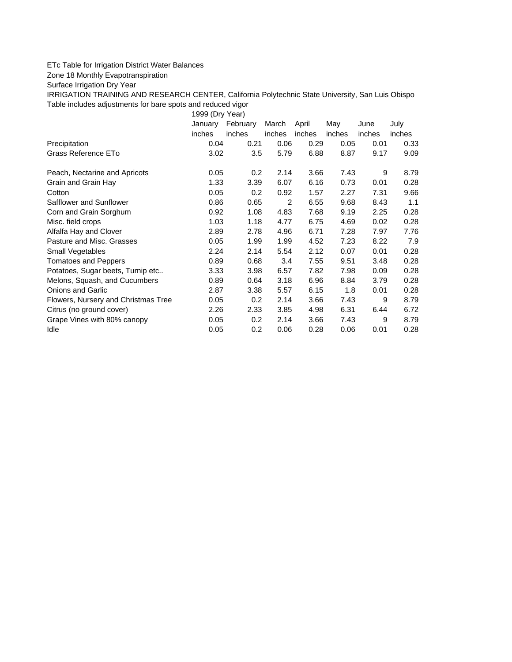## ETc Table for Irrigation District Water Balances

Zone 18 Monthly Evapotranspiration

Surface Irrigation Dry Year

IRRIGATION TRAINING AND RESEARCH CENTER, California Polytechnic State University, San Luis Obispo Table includes adjustments for bare spots and reduced vigor

1999 (Dry Year)

|                                     | January       | February | March  | April  | May    | June   | July   |
|-------------------------------------|---------------|----------|--------|--------|--------|--------|--------|
|                                     | <i>inches</i> | inches   | inches | inches | inches | inches | inches |
| Precipitation                       | 0.04          | 0.21     | 0.06   | 0.29   | 0.05   | 0.01   | 0.33   |
| Grass Reference ETo                 | 3.02          | 3.5      | 5.79   | 6.88   | 8.87   | 9.17   | 9.09   |
| Peach, Nectarine and Apricots       | 0.05          | 0.2      | 2.14   | 3.66   | 7.43   | 9      | 8.79   |
| Grain and Grain Hay                 | 1.33          | 3.39     | 6.07   | 6.16   | 0.73   | 0.01   | 0.28   |
| Cotton                              | 0.05          | 0.2      | 0.92   | 1.57   | 2.27   | 7.31   | 9.66   |
| Safflower and Sunflower             | 0.86          | 0.65     | 2      | 6.55   | 9.68   | 8.43   | 1.1    |
| Corn and Grain Sorghum              | 0.92          | 1.08     | 4.83   | 7.68   | 9.19   | 2.25   | 0.28   |
| Misc. field crops                   | 1.03          | 1.18     | 4.77   | 6.75   | 4.69   | 0.02   | 0.28   |
| Alfalfa Hay and Clover              | 2.89          | 2.78     | 4.96   | 6.71   | 7.28   | 7.97   | 7.76   |
| Pasture and Misc. Grasses           | 0.05          | 1.99     | 1.99   | 4.52   | 7.23   | 8.22   | 7.9    |
| Small Vegetables                    | 2.24          | 2.14     | 5.54   | 2.12   | 0.07   | 0.01   | 0.28   |
| <b>Tomatoes and Peppers</b>         | 0.89          | 0.68     | 3.4    | 7.55   | 9.51   | 3.48   | 0.28   |
| Potatoes, Sugar beets, Turnip etc   | 3.33          | 3.98     | 6.57   | 7.82   | 7.98   | 0.09   | 0.28   |
| Melons, Squash, and Cucumbers       | 0.89          | 0.64     | 3.18   | 6.96   | 8.84   | 3.79   | 0.28   |
| <b>Onions and Garlic</b>            | 2.87          | 3.38     | 5.57   | 6.15   | 1.8    | 0.01   | 0.28   |
| Flowers, Nursery and Christmas Tree | 0.05          | 0.2      | 2.14   | 3.66   | 7.43   | 9      | 8.79   |
| Citrus (no ground cover)            | 2.26          | 2.33     | 3.85   | 4.98   | 6.31   | 6.44   | 6.72   |
| Grape Vines with 80% canopy         | 0.05          | 0.2      | 2.14   | 3.66   | 7.43   | 9      | 8.79   |
| Idle                                | 0.05          | 0.2      | 0.06   | 0.28   | 0.06   | 0.01   | 0.28   |